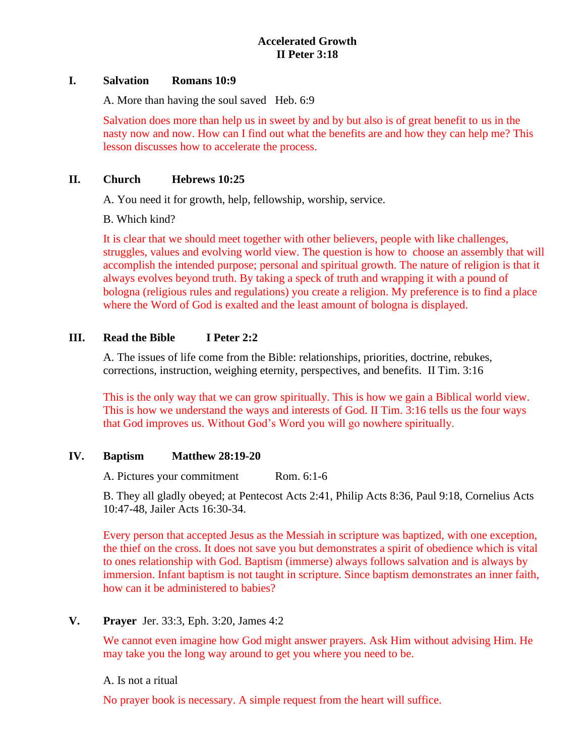## **I. Salvation Romans 10:9**

A. More than having the soul saved Heb. 6:9

Salvation does more than help us in sweet by and by but also is of great benefit to us in the nasty now and now. How can I find out what the benefits are and how they can help me? This lesson discusses how to accelerate the process.

# **II. Church Hebrews 10:25**

A. You need it for growth, help, fellowship, worship, service.

B. Which kind?

It is clear that we should meet together with other believers, people with like challenges, struggles, values and evolving world view. The question is how to choose an assembly that will accomplish the intended purpose; personal and spiritual growth. The nature of religion is that it always evolves beyond truth. By taking a speck of truth and wrapping it with a pound of bologna (religious rules and regulations) you create a religion. My preference is to find a place where the Word of God is exalted and the least amount of bologna is displayed.

# **III. Read the Bible I Peter 2:2**

A. The issues of life come from the Bible: relationships, priorities, doctrine, rebukes, corrections, instruction, weighing eternity, perspectives, and benefits. II Tim. 3:16

This is the only way that we can grow spiritually. This is how we gain a Biblical world view. This is how we understand the ways and interests of God. II Tim. 3:16 tells us the four ways that God improves us. Without God's Word you will go nowhere spiritually.

# **IV. Baptism Matthew 28:19-20**

A. Pictures your commitment Rom. 6:1-6

B. They all gladly obeyed; at Pentecost Acts 2:41, Philip Acts 8:36, Paul 9:18, Cornelius Acts 10:47-48, Jailer Acts 16:30-34.

Every person that accepted Jesus as the Messiah in scripture was baptized, with one exception, the thief on the cross. It does not save you but demonstrates a spirit of obedience which is vital to ones relationship with God. Baptism (immerse) always follows salvation and is always by immersion. Infant baptism is not taught in scripture. Since baptism demonstrates an inner faith, how can it be administered to babies?

# **V. Prayer** Jer. 33:3, Eph. 3:20, James 4:2

We cannot even imagine how God might answer prayers. Ask Him without advising Him. He may take you the long way around to get you where you need to be.

A. Is not a ritual

No prayer book is necessary. A simple request from the heart will suffice.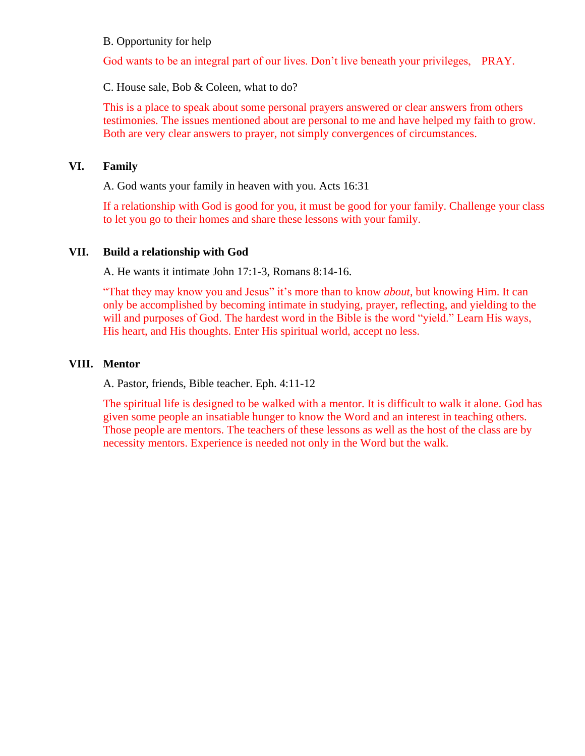#### B. Opportunity for help

God wants to be an integral part of our lives. Don't live beneath your privileges, PRAY.

C. House sale, Bob & Coleen, what to do?

This is a place to speak about some personal prayers answered or clear answers from others testimonies. The issues mentioned about are personal to me and have helped my faith to grow. Both are very clear answers to prayer, not simply convergences of circumstances.

#### **VI. Family**

A. God wants your family in heaven with you. Acts 16:31

If a relationship with God is good for you, it must be good for your family. Challenge your class to let you go to their homes and share these lessons with your family.

#### **VII. Build a relationship with God**

A. He wants it intimate John 17:1-3, Romans 8:14-16.

"That they may know you and Jesus" it's more than to know *about*, but knowing Him. It can only be accomplished by becoming intimate in studying, prayer, reflecting, and yielding to the will and purposes of God. The hardest word in the Bible is the word "yield." Learn His ways, His heart, and His thoughts. Enter His spiritual world, accept no less.

## **VIII. Mentor**

A. Pastor, friends, Bible teacher. Eph. 4:11-12

The spiritual life is designed to be walked with a mentor. It is difficult to walk it alone. God has given some people an insatiable hunger to know the Word and an interest in teaching others. Those people are mentors. The teachers of these lessons as well as the host of the class are by necessity mentors. Experience is needed not only in the Word but the walk.